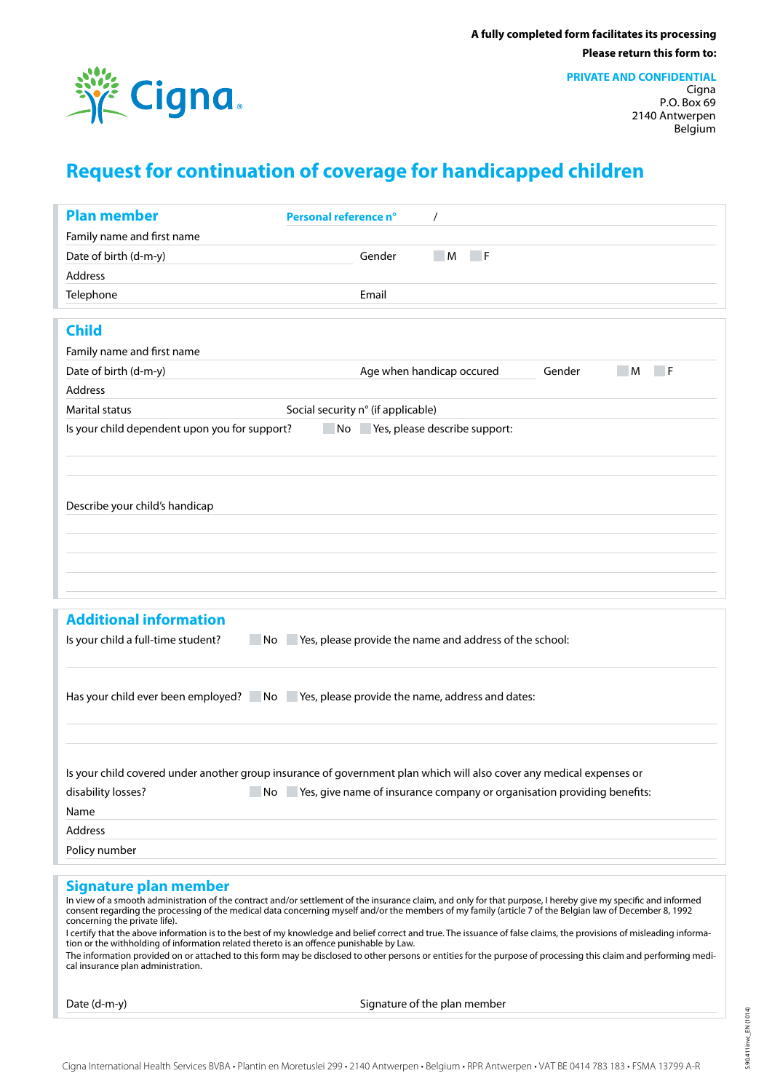

**PRIVATE AND CONFIDENTIAL**

Cigna P.O. Box 69 2140 Antwerpen Belgium

## **Request for continuation of coverage for handicapped children**

| <b>Plan member</b>                                                                                                                                                                                                                                                                                                         | Personal reference n°<br>$\prime$                                                                                                                                    |  |  |  |  |  |  |
|----------------------------------------------------------------------------------------------------------------------------------------------------------------------------------------------------------------------------------------------------------------------------------------------------------------------------|----------------------------------------------------------------------------------------------------------------------------------------------------------------------|--|--|--|--|--|--|
| Family name and first name                                                                                                                                                                                                                                                                                                 |                                                                                                                                                                      |  |  |  |  |  |  |
| Date of birth (d-m-y)                                                                                                                                                                                                                                                                                                      | Gender<br>M<br>– F                                                                                                                                                   |  |  |  |  |  |  |
| Address                                                                                                                                                                                                                                                                                                                    |                                                                                                                                                                      |  |  |  |  |  |  |
| Telephone                                                                                                                                                                                                                                                                                                                  | Email                                                                                                                                                                |  |  |  |  |  |  |
|                                                                                                                                                                                                                                                                                                                            |                                                                                                                                                                      |  |  |  |  |  |  |
| <b>Child</b>                                                                                                                                                                                                                                                                                                               |                                                                                                                                                                      |  |  |  |  |  |  |
| Family name and first name                                                                                                                                                                                                                                                                                                 |                                                                                                                                                                      |  |  |  |  |  |  |
| Date of birth (d-m-y)                                                                                                                                                                                                                                                                                                      | Age when handicap occured<br>Gender<br>⊤ F<br>M                                                                                                                      |  |  |  |  |  |  |
| Address                                                                                                                                                                                                                                                                                                                    |                                                                                                                                                                      |  |  |  |  |  |  |
| <b>Marital status</b>                                                                                                                                                                                                                                                                                                      | Social security n° (if applicable)                                                                                                                                   |  |  |  |  |  |  |
| Is your child dependent upon you for support?                                                                                                                                                                                                                                                                              | No Yes, please describe support:                                                                                                                                     |  |  |  |  |  |  |
|                                                                                                                                                                                                                                                                                                                            |                                                                                                                                                                      |  |  |  |  |  |  |
|                                                                                                                                                                                                                                                                                                                            |                                                                                                                                                                      |  |  |  |  |  |  |
|                                                                                                                                                                                                                                                                                                                            |                                                                                                                                                                      |  |  |  |  |  |  |
|                                                                                                                                                                                                                                                                                                                            |                                                                                                                                                                      |  |  |  |  |  |  |
| Describe your child's handicap                                                                                                                                                                                                                                                                                             |                                                                                                                                                                      |  |  |  |  |  |  |
|                                                                                                                                                                                                                                                                                                                            |                                                                                                                                                                      |  |  |  |  |  |  |
|                                                                                                                                                                                                                                                                                                                            |                                                                                                                                                                      |  |  |  |  |  |  |
|                                                                                                                                                                                                                                                                                                                            |                                                                                                                                                                      |  |  |  |  |  |  |
|                                                                                                                                                                                                                                                                                                                            |                                                                                                                                                                      |  |  |  |  |  |  |
| <b>Additional information</b>                                                                                                                                                                                                                                                                                              |                                                                                                                                                                      |  |  |  |  |  |  |
|                                                                                                                                                                                                                                                                                                                            |                                                                                                                                                                      |  |  |  |  |  |  |
| No Yes, please provide the name and address of the school:<br>Is your child a full-time student?                                                                                                                                                                                                                           |                                                                                                                                                                      |  |  |  |  |  |  |
|                                                                                                                                                                                                                                                                                                                            |                                                                                                                                                                      |  |  |  |  |  |  |
|                                                                                                                                                                                                                                                                                                                            |                                                                                                                                                                      |  |  |  |  |  |  |
| Has your child ever been employed? No Yes, please provide the name, address and dates:                                                                                                                                                                                                                                     |                                                                                                                                                                      |  |  |  |  |  |  |
|                                                                                                                                                                                                                                                                                                                            |                                                                                                                                                                      |  |  |  |  |  |  |
|                                                                                                                                                                                                                                                                                                                            |                                                                                                                                                                      |  |  |  |  |  |  |
|                                                                                                                                                                                                                                                                                                                            |                                                                                                                                                                      |  |  |  |  |  |  |
|                                                                                                                                                                                                                                                                                                                            | Is your child covered under another group insurance of government plan which will also cover any medical expenses or                                                 |  |  |  |  |  |  |
| disability losses?                                                                                                                                                                                                                                                                                                         | No Yes, give name of insurance company or organisation providing benefits:                                                                                           |  |  |  |  |  |  |
| Name                                                                                                                                                                                                                                                                                                                       |                                                                                                                                                                      |  |  |  |  |  |  |
| Address                                                                                                                                                                                                                                                                                                                    |                                                                                                                                                                      |  |  |  |  |  |  |
| Policy number                                                                                                                                                                                                                                                                                                              |                                                                                                                                                                      |  |  |  |  |  |  |
|                                                                                                                                                                                                                                                                                                                            |                                                                                                                                                                      |  |  |  |  |  |  |
| Signature plan member                                                                                                                                                                                                                                                                                                      |                                                                                                                                                                      |  |  |  |  |  |  |
| In view of a smooth administration of the contract and/or settlement of the insurance claim, and only for that purpose, I hereby give my specific and informed<br>consent regarding the processing of the medical data concerning myself and/or the members of my family (article 7 of the Belgian law of December 8, 1992 |                                                                                                                                                                      |  |  |  |  |  |  |
| concerning the private life).                                                                                                                                                                                                                                                                                              | I certify that the above information is to the best of my knowledge and belief correct and true. The issuance of false claims, the provisions of misleading informa- |  |  |  |  |  |  |
| tion or the withholding of information related thereto is an offence punishable by Law.                                                                                                                                                                                                                                    |                                                                                                                                                                      |  |  |  |  |  |  |

The information provided on or attached to this form may be disclosed to other persons or entities for the purpose of processing this claim and performing medical insurance plan administration.

Date (d-m-y) Signature of the plan member